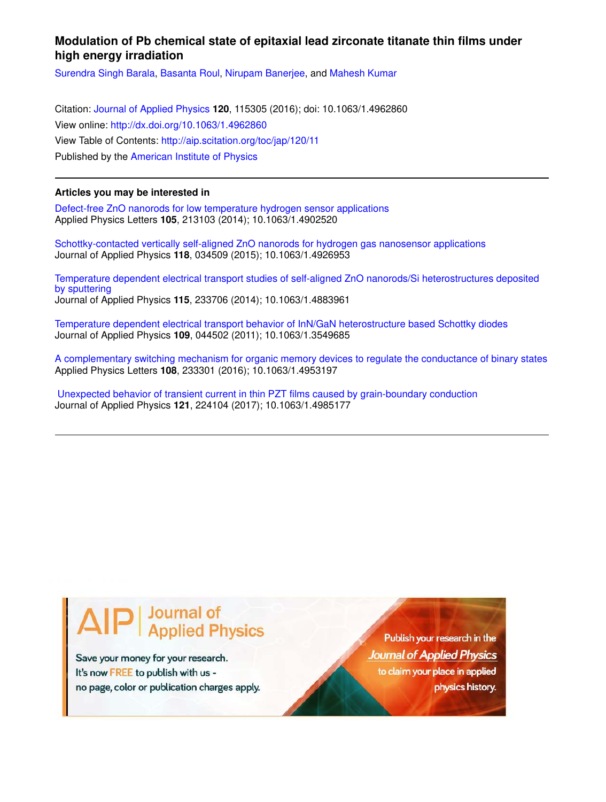# **Modulation of Pb chemical state of epitaxial lead zirconate titanate thin films under high energy irradiation**

Surendra Singh Barala, Basanta Roul, Nirupam Banerjee, and Mahesh Kumar

Citation: Journal of Applied Physics **120**, 115305 (2016); doi: 10.1063/1.4962860 View online: http://dx.doi.org/10.1063/1.4962860 View Table of Contents: http://aip.scitation.org/toc/jap/120/11 Published by the American Institute of Physics

# **Articles you may be interested in**

Defect-free ZnO nanorods for low temperature hydrogen sensor applications Applied Physics Letters **105**, 213103 (2014); 10.1063/1.4902520

Schottky-contacted vertically self-aligned ZnO nanorods for hydrogen gas nanosensor applications Journal of Applied Physics **118**, 034509 (2015); 10.1063/1.4926953

Temperature dependent electrical transport studies of self-aligned ZnO nanorods/Si heterostructures deposited by sputtering Journal of Applied Physics **115**, 233706 (2014); 10.1063/1.4883961

Temperature dependent electrical transport behavior of InN/GaN heterostructure based Schottky diodes Journal of Applied Physics **109**, 044502 (2011); 10.1063/1.3549685

A complementary switching mechanism for organic memory devices to regulate the conductance of binary states Applied Physics Letters **108**, 233301 (2016); 10.1063/1.4953197

 Unexpected behavior of transient current in thin PZT films caused by grain-boundary conduction Journal of Applied Physics **121**, 224104 (2017); 10.1063/1.4985177

# **Journal of<br>Applied Physics**

Save your money for your research. It's now FREE to publish with us no page, color or publication charges apply.

Publish your research in the **Journal of Applied Physics** to claim your place in applied physics history.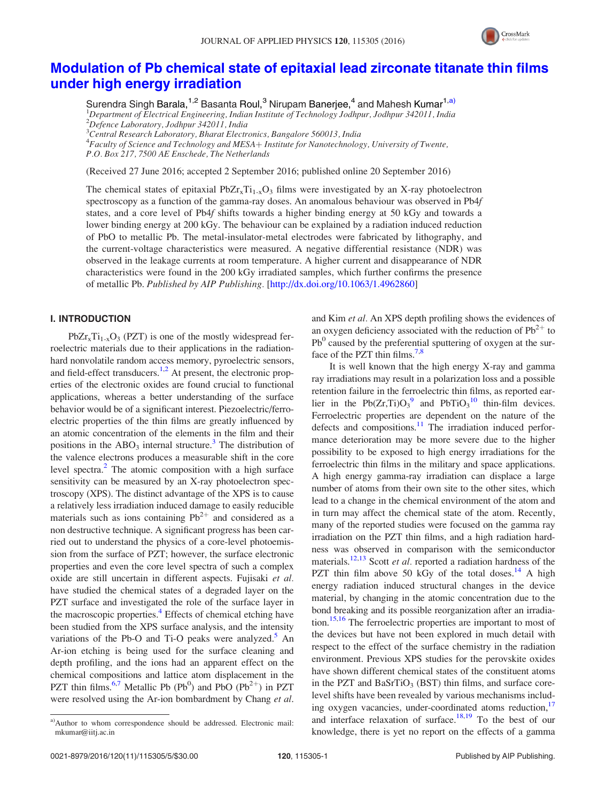

# Modulation of Pb chemical state of epitaxial lead zirconate titanate thin films under high energy irradiation

Surendra Singh Barala,<sup>1,2</sup> Basanta Roul,<sup>3</sup> Nirupam Banerjee,<sup>4</sup> and Mahesh Kumar<sup>1,a)</sup>  ${}^{1}$ Department of Electrical Engineering, Indian Institute of Technology Jodhpur, Jodhpur 342011, India  $^{2}$ Defence Laboratory, Jodhpur 342011, India

 $3$ Central Research Laboratory, Bharat Electronics, Bangalore 560013, India

<sup>4</sup> Faculty of Science and Technology and MESA + Institute for Nanotechnology, University of Twente,

P.O. Box 217, 7500 AE Enschede, The Netherlands

(Received 27 June 2016; accepted 2 September 2016; published online 20 September 2016)

The chemical states of epitaxial  $PbZ_{r}T_{1-r}O_3$  films were investigated by an X-ray photoelectron spectroscopy as a function of the gamma-ray doses. An anomalous behaviour was observed in Pb4f states, and a core level of Pb4f shifts towards a higher binding energy at 50 kGy and towards a lower binding energy at 200 kGy. The behaviour can be explained by a radiation induced reduction of PbO to metallic Pb. The metal-insulator-metal electrodes were fabricated by lithography, and the current-voltage characteristics were measured. A negative differential resistance (NDR) was observed in the leakage currents at room temperature. A higher current and disappearance of NDR characteristics were found in the 200 kGy irradiated samples, which further confirms the presence of metallic Pb. Published by AIP Publishing. [http://dx.doi.org/10.1063/1.4962860]

## I. INTRODUCTION

 $PbZr<sub>x</sub>Ti<sub>1-x</sub>O<sub>3</sub>$  (PZT) is one of the mostly widespread ferroelectric materials due to their applications in the radiationhard nonvolatile random access memory, pyroelectric sensors, and field-effect transducers.<sup>1,2</sup> At present, the electronic properties of the electronic oxides are found crucial to functional applications, whereas a better understanding of the surface behavior would be of a significant interest. Piezoelectric/ferroelectric properties of the thin films are greatly influenced by an atomic concentration of the elements in the film and their positions in the  $ABO_3$  internal structure.<sup>3</sup> The distribution of the valence electrons produces a measurable shift in the core level spectra.<sup>2</sup> The atomic composition with a high surface sensitivity can be measured by an X-ray photoelectron spectroscopy (XPS). The distinct advantage of the XPS is to cause a relatively less irradiation induced damage to easily reducible materials such as ions containing  $Pb^{2+}$  and considered as a non destructive technique. A significant progress has been carried out to understand the physics of a core-level photoemission from the surface of PZT; however, the surface electronic properties and even the core level spectra of such a complex oxide are still uncertain in different aspects. Fujisaki et al. have studied the chemical states of a degraded layer on the PZT surface and investigated the role of the surface layer in the macroscopic properties.<sup>4</sup> Effects of chemical etching have been studied from the XPS surface analysis, and the intensity variations of the Pb-O and Ti-O peaks were analyzed. $\overline{5}$  An Ar-ion etching is being used for the surface cleaning and depth profiling, and the ions had an apparent effect on the chemical compositions and lattice atom displacement in the PZT thin films.<sup>6,7</sup> Metallic Pb (Pb<sup>0</sup>) and PbO (Pb<sup>2+</sup>) in PZT were resolved using the Ar-ion bombardment by Chang et al.

and Kim et al. An XPS depth profiling shows the evidences of an oxygen deficiency associated with the reduction of  $Pb^{2+}$  to  $Pb<sup>0</sup>$  caused by the preferential sputtering of oxygen at the surface of the PZT thin films.<sup>7,8</sup>

It is well known that the high energy X-ray and gamma ray irradiations may result in a polarization loss and a possible retention failure in the ferroelectric thin films, as reported earlier in the Pb(Zr,Ti) $O_3^9$  and PbTi $O_3^{10}$  thin-film devices. Ferroelectric properties are dependent on the nature of the defects and compositions.<sup>11</sup> The irradiation induced performance deterioration may be more severe due to the higher possibility to be exposed to high energy irradiations for the ferroelectric thin films in the military and space applications. A high energy gamma-ray irradiation can displace a large number of atoms from their own site to the other sites, which lead to a change in the chemical environment of the atom and in turn may affect the chemical state of the atom. Recently, many of the reported studies were focused on the gamma ray irradiation on the PZT thin films, and a high radiation hardness was observed in comparison with the semiconductor materials.<sup>12,13</sup> Scott *et al.* reported a radiation hardness of the PZT thin film above 50 kGy of the total doses. $14$  A high energy radiation induced structural changes in the device material, by changing in the atomic concentration due to the bond breaking and its possible reorganization after an irradiation.<sup>15,16</sup> The ferroelectric properties are important to most of the devices but have not been explored in much detail with respect to the effect of the surface chemistry in the radiation environment. Previous XPS studies for the perovskite oxides have shown different chemical states of the constituent atoms in the PZT and BaSrTiO<sub>3</sub> (BST) thin films, and surface corelevel shifts have been revealed by various mechanisms including oxygen vacancies, under-coordinated atoms reduction,<sup>17</sup> and interface relaxation of surface.<sup>18,19</sup> To the best of our knowledge, there is yet no report on the effects of a gamma

a)Author to whom correspondence should be addressed. Electronic mail: mkumar@iitj.ac.in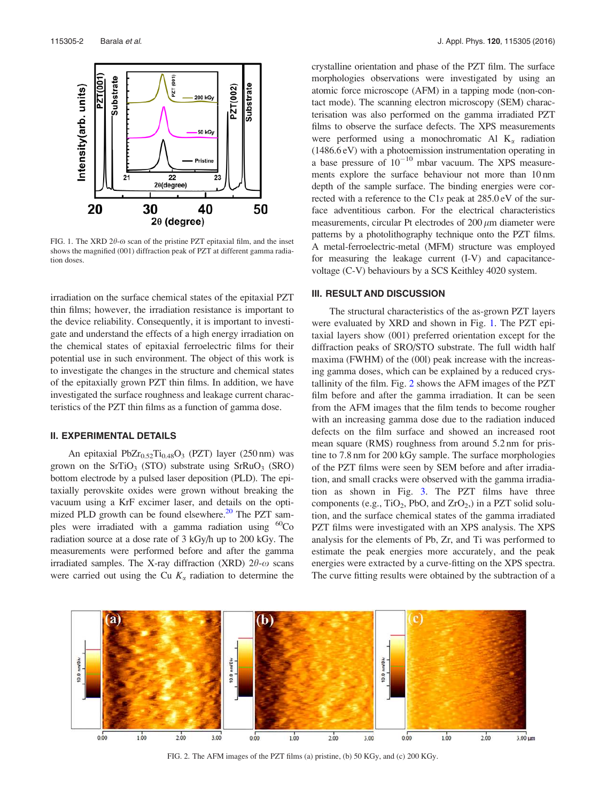

FIG. 1. The XRD  $2\theta$ - $\omega$  scan of the pristine PZT epitaxial film, and the inset shows the magnified (001) diffraction peak of PZT at different gamma radiation doses.

irradiation on the surface chemical states of the epitaxial PZT thin films; however, the irradiation resistance is important to the device reliability. Consequently, it is important to investigate and understand the effects of a high energy irradiation on the chemical states of epitaxial ferroelectric films for their potential use in such environment. The object of this work is to investigate the changes in the structure and chemical states of the epitaxially grown PZT thin films. In addition, we have investigated the surface roughness and leakage current characteristics of the PZT thin films as a function of gamma dose.

#### II. EXPERIMENTAL DETAILS

An epitaxial Pb $Zr_{0.52}Ti_{0.48}O_3$  (PZT) layer (250 nm) was grown on the SrTiO<sub>3</sub> (STO) substrate using SrRuO<sub>3</sub> (SRO) bottom electrode by a pulsed laser deposition (PLD). The epitaxially perovskite oxides were grown without breaking the vacuum using a KrF excimer laser, and details on the optimized PLD growth can be found elsewhere. $^{20}$  The PZT samples were irradiated with a gamma radiation using  ${}^{60}Co$ radiation source at a dose rate of 3 kGy/h up to 200 kGy. The measurements were performed before and after the gamma irradiated samples. The X-ray diffraction (XRD)  $2\theta$ - $\omega$  scans were carried out using the Cu  $K_{\alpha}$  radiation to determine the

crystalline orientation and phase of the PZT film. The surface morphologies observations were investigated by using an atomic force microscope (AFM) in a tapping mode (non-contact mode). The scanning electron microscopy (SEM) characterisation was also performed on the gamma irradiated PZT films to observe the surface defects. The XPS measurements were performed using a monochromatic Al  $K_{\alpha}$  radiation (1486.6 eV) with a photoemission instrumentation operating in a base pressure of  $10^{-10}$  mbar vacuum. The XPS measurements explore the surface behaviour not more than 10 nm depth of the sample surface. The binding energies were corrected with a reference to the C1s peak at 285.0 eV of the surface adventitious carbon. For the electrical characteristics measurements, circular Pt electrodes of  $200 \mu m$  diameter were patterns by a photolithography technique onto the PZT films. A metal-ferroelectric-metal (MFM) structure was employed for measuring the leakage current (I-V) and capacitancevoltage (C-V) behaviours by a SCS Keithley 4020 system.

## III. RESULT AND DISCUSSION

The structural characteristics of the as-grown PZT layers were evaluated by XRD and shown in Fig. 1. The PZT epitaxial layers show (001) preferred orientation except for the diffraction peaks of SRO/STO substrate. The full width half maxima (FWHM) of the (00l) peak increase with the increasing gamma doses, which can be explained by a reduced crystallinity of the film. Fig. 2 shows the AFM images of the PZT film before and after the gamma irradiation. It can be seen from the AFM images that the film tends to become rougher with an increasing gamma dose due to the radiation induced defects on the film surface and showed an increased root mean square (RMS) roughness from around 5.2 nm for pristine to 7.8 nm for 200 kGy sample. The surface morphologies of the PZT films were seen by SEM before and after irradiation, and small cracks were observed with the gamma irradiation as shown in Fig. 3. The PZT films have three components (e.g.,  $TiO_2$ , PbO, and  $ZrO_2$ ) in a PZT solid solution, and the surface chemical states of the gamma irradiated PZT films were investigated with an XPS analysis. The XPS analysis for the elements of Pb, Zr, and Ti was performed to estimate the peak energies more accurately, and the peak energies were extracted by a curve-fitting on the XPS spectra. The curve fitting results were obtained by the subtraction of a



FIG. 2. The AFM images of the PZT films (a) pristine, (b) 50 KGy, and (c) 200 KGy.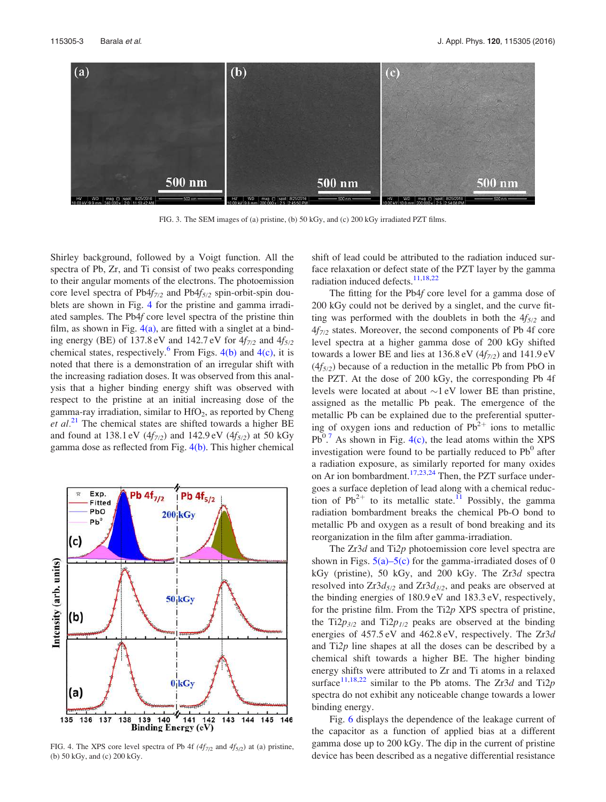

FIG. 3. The SEM images of (a) pristine, (b) 50 kGy, and (c) 200 kGy irradiated PZT films.

Shirley background, followed by a Voigt function. All the spectra of Pb, Zr, and Ti consist of two peaks corresponding to their angular moments of the electrons. The photoemission core level spectra of Pb $4f_{7/2}$  and Pb $4f_{5/2}$  spin-orbit-spin doublets are shown in Fig. 4 for the pristine and gamma irradiated samples. The Pb4f core level spectra of the pristine thin film, as shown in Fig.  $4(a)$ , are fitted with a singlet at a binding energy (BE) of 137.8 eV and 142.7 eV for  $4f_{7/2}$  and  $4f_{5/2}$ chemical states, respectively.  $6$  From Figs. 4(b) and 4(c), it is noted that there is a demonstration of an irregular shift with the increasing radiation doses. It was observed from this analysis that a higher binding energy shift was observed with respect to the pristine at an initial increasing dose of the gamma-ray irradiation, similar to  $HfO<sub>2</sub>$ , as reported by Cheng et  $al^{21}$ . The chemical states are shifted towards a higher BE and found at 138.1 eV ( $4f_{7/2}$ ) and 142.9 eV ( $4f_{5/2}$ ) at 50 kGy gamma dose as reflected from Fig. 4(b). This higher chemical



FIG. 4. The XPS core level spectra of Pb 4f  $(4f_{7/2}$  and  $4f_{5/2})$  at (a) pristine, (b) 50 kGy, and (c) 200 kGy.

shift of lead could be attributed to the radiation induced surface relaxation or defect state of the PZT layer by the gamma radiation induced defects.<sup>11,18,22</sup>

The fitting for the Pb4f core level for a gamma dose of 200 kGy could not be derived by a singlet, and the curve fitting was performed with the doublets in both the  $4f_{5/2}$  and  $4f_{7/2}$  states. Moreover, the second components of Pb 4f core level spectra at a higher gamma dose of 200 kGy shifted towards a lower BE and lies at  $136.8 \text{ eV}$  ( $4f_{7/2}$ ) and  $141.9 \text{ eV}$  $(4f_{5/2})$  because of a reduction in the metallic Pb from PbO in the PZT. At the dose of 200 kGy, the corresponding Pb 4f levels were located at about  $\sim$ 1 eV lower BE than pristine, assigned as the metallic Pb peak. The emergence of the metallic Pb can be explained due to the preferential sputtering of oxygen ions and reduction of  $Pb^{2+}$  ions to metallic  $Pb^{0.7}$  As shown in Fig. 4(c), the lead atoms within the XPS investigation were found to be partially reduced to  $Pb^0$  after a radiation exposure, as similarly reported for many oxides on Ar ion bombardment.<sup>17,23,24</sup> Then, the PZT surface undergoes a surface depletion of lead along with a chemical reduction of  $Pb^{2+}$  to its metallic state.<sup>11</sup> Possibly, the gamma radiation bombardment breaks the chemical Pb-O bond to metallic Pb and oxygen as a result of bond breaking and its reorganization in the film after gamma-irradiation.

The Zr3d and Ti2p photoemission core level spectra are shown in Figs.  $5(a)$ – $5(c)$  for the gamma-irradiated doses of 0 kGy (pristine), 50 kGy, and 200 kGy. The Zr3d spectra resolved into  $Zr3d_{5/2}$  and  $Zr3d_{3/2}$ , and peaks are observed at the binding energies of 180.9 eV and 183.3 eV, respectively, for the pristine film. From the Ti2p XPS spectra of pristine, the Ti2 $p_{3/2}$  and Ti2 $p_{1/2}$  peaks are observed at the binding energies of 457.5 eV and 462.8 eV, respectively. The Zr3d and Ti2p line shapes at all the doses can be described by a chemical shift towards a higher BE. The higher binding energy shifts were attributed to Zr and Ti atoms in a relaxed surface<sup>11,18,22</sup> similar to the Pb atoms. The Zr3d and Ti2p spectra do not exhibit any noticeable change towards a lower binding energy.

Fig. 6 displays the dependence of the leakage current of the capacitor as a function of applied bias at a different gamma dose up to 200 kGy. The dip in the current of pristine device has been described as a negative differential resistance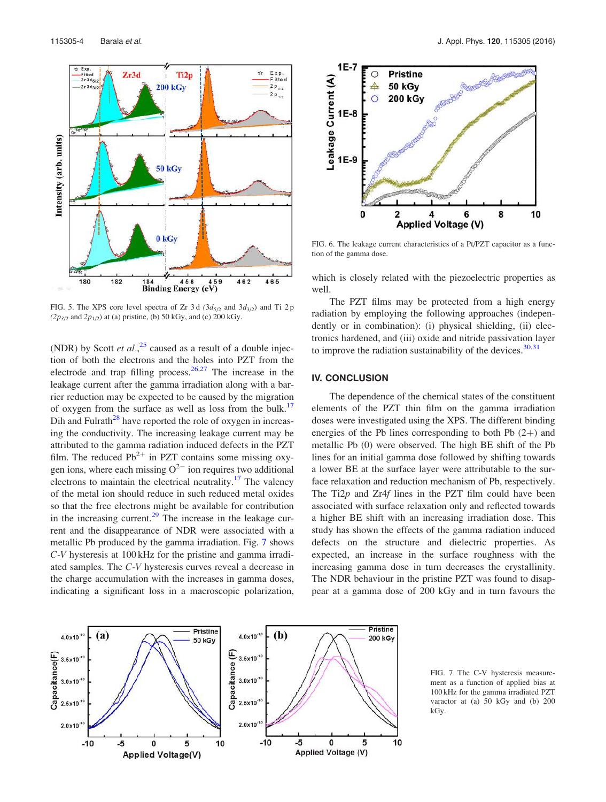

FIG. 5. The XPS core level spectra of Zr 3d  $(3d_{5/2}$  and  $3d_{3/2})$  and Ti 2p  $(2p_{3/2}$  and  $2p_{1/2})$  at (a) pristine, (b) 50 kGy, and (c) 200 kGy.

(NDR) by Scott et  $al$ ,  $25$  caused as a result of a double injection of both the electrons and the holes into PZT from the electrode and trap filling process.  $26,27$  The increase in the leakage current after the gamma irradiation along with a barrier reduction may be expected to be caused by the migration of oxygen from the surface as well as loss from the bulk.<sup>17</sup> Dih and Fulrath<sup>28</sup> have reported the role of oxygen in increasing the conductivity. The increasing leakage current may be attributed to the gamma radiation induced defects in the PZT film. The reduced  $Pb^{2+}$  in PZT contains some missing oxygen ions, where each missing  $O^{2-}$  ion requires two additional electrons to maintain the electrical neutrality.<sup>17</sup> The valency of the metal ion should reduce in such reduced metal oxides so that the free electrons might be available for contribution in the increasing current.<sup>29</sup> The increase in the leakage current and the disappearance of NDR were associated with a metallic Pb produced by the gamma irradiation. Fig. 7 shows C-V hysteresis at 100 kHz for the pristine and gamma irradiated samples. The C-V hysteresis curves reveal a decrease in the charge accumulation with the increases in gamma doses, indicating a significant loss in a macroscopic polarization,



FIG. 6. The leakage current characteristics of a Pt/PZT capacitor as a function of the gamma dose.

which is closely related with the piezoelectric properties as well.

The PZT films may be protected from a high energy radiation by employing the following approaches (independently or in combination): (i) physical shielding, (ii) electronics hardened, and (iii) oxide and nitride passivation layer to improve the radiation sustainability of the devices.  $30,31$ 

## IV. CONCLUSION

The dependence of the chemical states of the constituent elements of the PZT thin film on the gamma irradiation doses were investigated using the XPS. The different binding energies of the Pb lines corresponding to both Pb  $(2+)$  and metallic Pb (0) were observed. The high BE shift of the Pb lines for an initial gamma dose followed by shifting towards a lower BE at the surface layer were attributable to the surface relaxation and reduction mechanism of Pb, respectively. The Ti $2p$  and Zr4f lines in the PZT film could have been associated with surface relaxation only and reflected towards a higher BE shift with an increasing irradiation dose. This study has shown the effects of the gamma radiation induced defects on the structure and dielectric properties. As expected, an increase in the surface roughness with the increasing gamma dose in turn decreases the crystallinity. The NDR behaviour in the pristine PZT was found to disappear at a gamma dose of 200 kGy and in turn favours the



FIG. 7. The C-V hysteresis measurement as a function of applied bias at 100 kHz for the gamma irradiated PZT varactor at (a) 50 kGy and (b) 200 kGy.